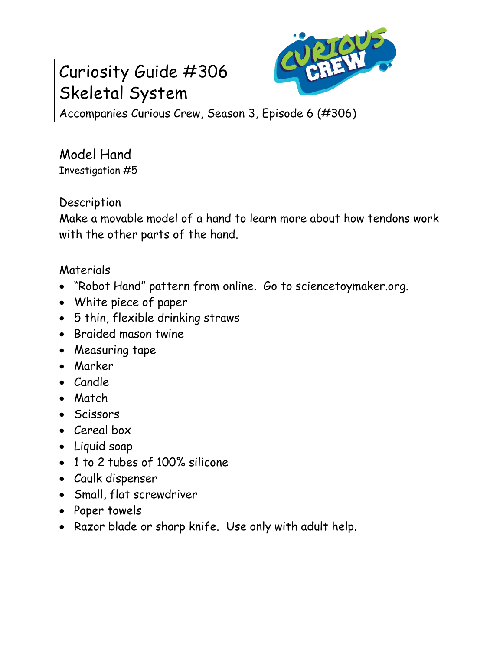

# Curiosity Guide #306 Skeletal System

Accompanies Curious Crew, Season 3, Episode 6 (#306)

Model Hand Investigation #5

# Description

Make a movable model of a hand to learn more about how tendons work with the other parts of the hand.

## Materials

- "Robot Hand" pattern from online. Go to sciencetoymaker.org.
- White piece of paper
- 5 thin, flexible drinking straws
- Braided mason twine
- Measuring tape
- Marker
- Candle
- Match
- Scissors
- Cereal box
- Liquid soap
- 1 to 2 tubes of 100% silicone
- Caulk dispenser
- Small, flat screwdriver
- Paper towels
- Razor blade or sharp knife. Use only with adult help.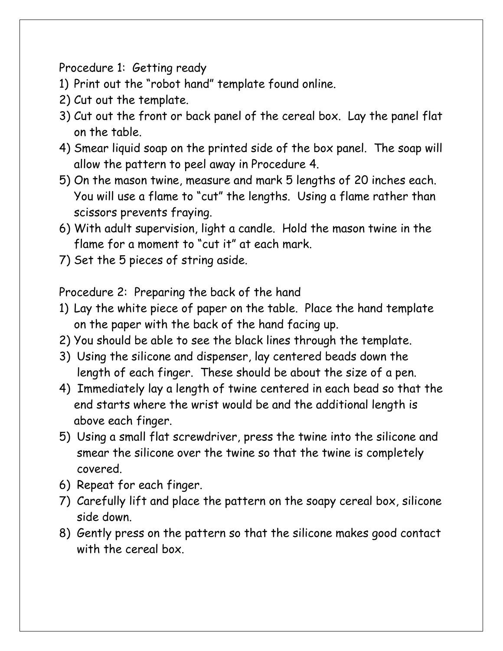Procedure 1: Getting ready

- 1) Print out the "robot hand" template found online.
- 2) Cut out the template.
- 3) Cut out the front or back panel of the cereal box. Lay the panel flat on the table.
- 4) Smear liquid soap on the printed side of the box panel. The soap will allow the pattern to peel away in Procedure 4.
- 5) On the mason twine, measure and mark 5 lengths of 20 inches each. You will use a flame to "cut" the lengths. Using a flame rather than scissors prevents fraying.
- 6) With adult supervision, light a candle. Hold the mason twine in the flame for a moment to "cut it" at each mark.
- 7) Set the 5 pieces of string aside.

Procedure 2: Preparing the back of the hand

- 1) Lay the white piece of paper on the table. Place the hand template on the paper with the back of the hand facing up.
- 2) You should be able to see the black lines through the template.
- 3) Using the silicone and dispenser, lay centered beads down the length of each finger. These should be about the size of a pen.
- 4) Immediately lay a length of twine centered in each bead so that the end starts where the wrist would be and the additional length is above each finger.
- 5) Using a small flat screwdriver, press the twine into the silicone and smear the silicone over the twine so that the twine is completely covered.
- 6) Repeat for each finger.
- 7) Carefully lift and place the pattern on the soapy cereal box, silicone side down.
- 8) Gently press on the pattern so that the silicone makes good contact with the cereal box.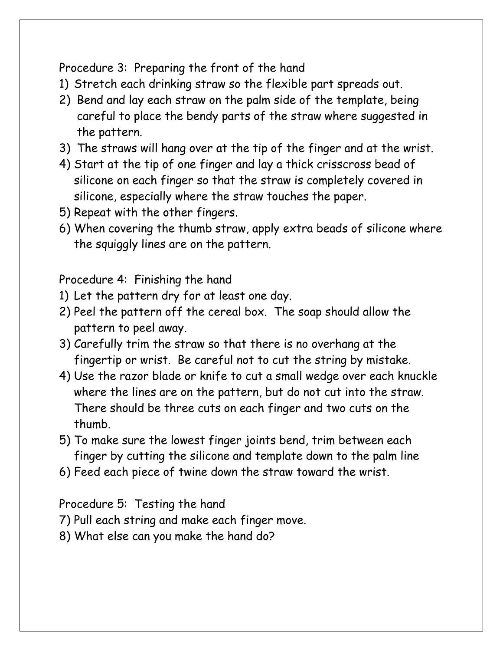## Procedure 3: Preparing the front of the hand

- 1) Stretch each drinking straw so the flexible part spreads out.
- 2) Bend and lay each straw on the palm side of the template, being careful to place the bendy parts of the straw where suggested in the pattern.
- 3) The straws will hang over at the tip of the finger and at the wrist.
- 4) Start at the tip of one finger and lay a thick crisscross bead of silicone on each finger so that the straw is completely covered in silicone, especially where the straw touches the paper.
- 5) Repeat with the other fingers.
- 6) When covering the thumb straw, apply extra beads of silicone where the squiggly lines are on the pattern.

Procedure 4: Finishing the hand

- 1) Let the pattern dry for at least one day.
- 2) Peel the pattern off the cereal box. The soap should allow the pattern to peel away.
- 3) Carefully trim the straw so that there is no overhang at the fingertip or wrist. Be careful not to cut the string by mistake.
- 4) Use the razor blade or knife to cut a small wedge over each knuckle where the lines are on the pattern, but do not cut into the straw. There should be three cuts on each finger and two cuts on the thumb.
- 5) To make sure the lowest finger joints bend, trim between each finger by cutting the silicone and template down to the palm line
- 6) Feed each piece of twine down the straw toward the wrist.

#### Procedure 5: Testing the hand

- 7) Pull each string and make each finger move.
- 8) What else can you make the hand do?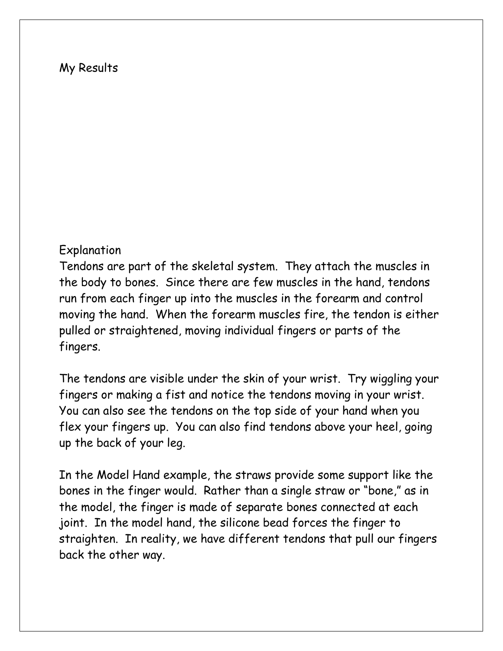#### My Results

#### Explanation

Tendons are part of the skeletal system. They attach the muscles in the body to bones. Since there are few muscles in the hand, tendons run from each finger up into the muscles in the forearm and control moving the hand. When the forearm muscles fire, the tendon is either pulled or straightened, moving individual fingers or parts of the fingers.

The tendons are visible under the skin of your wrist. Try wiggling your fingers or making a fist and notice the tendons moving in your wrist. You can also see the tendons on the top side of your hand when you flex your fingers up. You can also find tendons above your heel, going up the back of your leg.

In the Model Hand example, the straws provide some support like the bones in the finger would. Rather than a single straw or "bone," as in the model, the finger is made of separate bones connected at each joint. In the model hand, the silicone bead forces the finger to straighten. In reality, we have different tendons that pull our fingers back the other way.